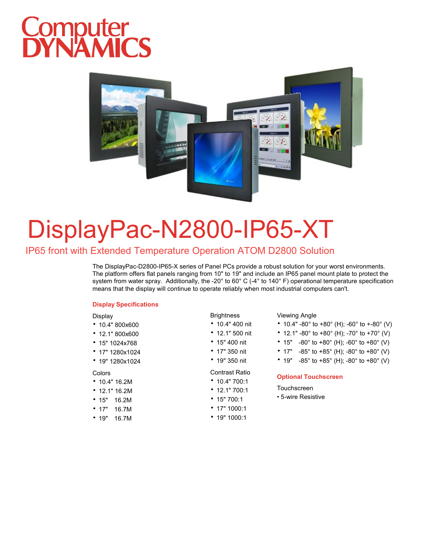# Computer<br>DYNAMICS



### DisplayPac-N2800-IP65-XT

#### IP65 front with Extended Temperature Operation ATOM D2800 Solution

The DisplayPac-D2800-IP65-X series of Panel PCs provide a robust solution for your worst environments. The platform offers flat panels ranging from 10" to 19" and include an IP65 panel mount plate to protect the system from water spray. Additionally, the -20° to 60° C (-4° to 140° F) operational temperature specification means that the display will continue to operate reliably when most industrial computers can't.

#### **Display Specifications**

#### Display

- 10.4" 800x600
- 12.1" 800x600
- 15" 1024x768
- 17" 1280x1024
- 19" 1280x1024

#### Colors

- 10.4" 16.2M
- 12.1" 16.2M
- 15" 16.2M
- 17" 16.7M
- 19" 16.7M

#### **Brightness**

- 
- 12.1" 500 nit • 15" 400 nit
- 
- 17" 350 nit • 19" 350 nit

#### Contrast Ratio

- 10.4" 700:1
- 12.1" 700:1
- 15" 700:1
- 
- 19" 1000:1

#### Viewing Angle

- 10.4" 400 nit 10.4" -80° to +80° (H); -60° to +-80° (V)
	- 12.1" -80° to +80° (H); -70° to +70° (V)
	- 15"  $-80^\circ$  to  $+80^\circ$  (H);  $-60^\circ$  to  $+80^\circ$  (V)
	- 17"  $-85^{\circ}$  to  $+85^{\circ}$  (H);  $-80^{\circ}$  to  $+80^{\circ}$  (V)
	- 19" -85° to +85° (H); -80° to +80° (V)

#### **Optional Touchscreen**

#### Touchscreen

- 5-wire Resistive
- 17" 1000:1
-